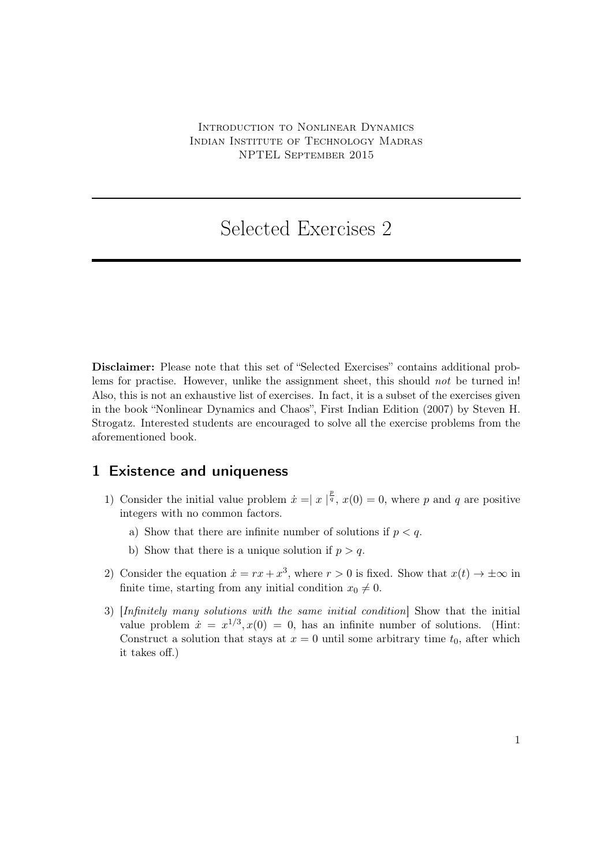## Selected Exercises 2

Disclaimer: Please note that this set of "Selected Exercises" contains additional problems for practise. However, unlike the assignment sheet, this should *not* be turned in! Also, this is not an exhaustive list of exercises. In fact, it is a subset of the exercises given in the book "Nonlinear Dynamics and Chaos", First Indian Edition (2007) by Steven H. Strogatz. Interested students are encouraged to solve all the exercise problems from the aforementioned book.

## 1 Existence and uniqueness

- 1) Consider the initial value problem  $\dot{x} = |x|^{\frac{p}{q}}$ ,  $x(0) = 0$ , where p and q are positive integers with no common factors.
	- a) Show that there are infinite number of solutions if  $p < q$ .
	- b) Show that there is a unique solution if  $p > q$ .
- 2) Consider the equation  $\dot{x} = rx + x^3$ , where  $r > 0$  is fixed. Show that  $x(t) \to \pm \infty$  in finite time, starting from any initial condition  $x_0 \neq 0$ .
- 3) [Infinitely many solutions with the same initial condition] Show that the initial value problem  $\dot{x} = x^{1/3}, x(0) = 0$ , has an infinite number of solutions. (Hint: Construct a solution that stays at  $x = 0$  until some arbitrary time  $t_0$ , after which it takes off.)